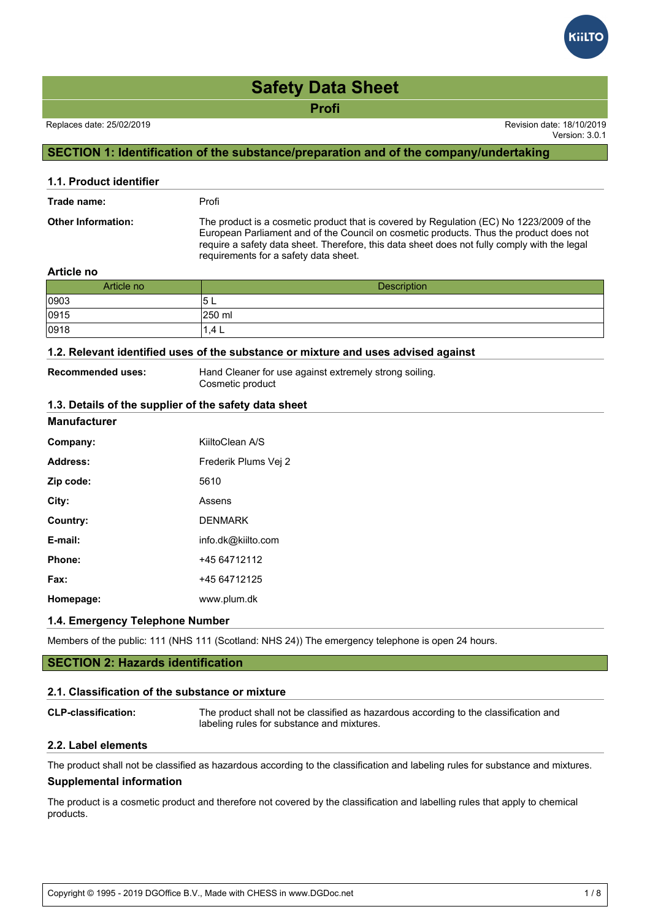# **Safety Data Sheet**

**Profi**

Version: 3.0.1

# **SECTION 1: Identification of the substance/preparation and of the company/undertaking**

| 1.1. Product identifier   |                                                                                                                                                                                                                                                                                                                             |
|---------------------------|-----------------------------------------------------------------------------------------------------------------------------------------------------------------------------------------------------------------------------------------------------------------------------------------------------------------------------|
| Trade name:               | Profi                                                                                                                                                                                                                                                                                                                       |
| <b>Other Information:</b> | The product is a cosmetic product that is covered by Regulation (EC) No 1223/2009 of the<br>European Parliament and of the Council on cosmetic products. Thus the product does not<br>require a safety data sheet. Therefore, this data sheet does not fully comply with the legal<br>requirements for a safety data sheet. |

#### **Article no**

| Article no | <b>Description</b> |
|------------|--------------------|
| 0903       | ິບ∟                |
| 0915       | 250 ml             |
| 0918       | 1.4 L              |

# **1.2. Relevant identified uses of the substance or mixture and uses advised against**

**Recommended uses:** Hand Cleaner for use against extremely strong soiling. Cosmetic product

#### **1.3. Details of the supplier of the safety data sheet**

#### **Manufacturer**

| Company:  | KiiltoClean A/S      |
|-----------|----------------------|
| Address:  | Frederik Plums Vei 2 |
| Zip code: | 5610                 |
| City:     | Assens               |
| Country:  | <b>DENMARK</b>       |
| E-mail:   | info.dk@kiilto.com   |
| Phone:    | +45 64712112         |
| Fax:      | +45 64712125         |
| Homepage: | www.plum.dk          |

# **1.4. Emergency Telephone Number**

Members of the public: 111 (NHS 111 (Scotland: NHS 24)) The emergency telephone is open 24 hours.

# **SECTION 2: Hazards identification**

#### **2.1. Classification of the substance or mixture**

| <b>CLP-classification:</b> | The product shall not be classified as hazardous according to the classification and |
|----------------------------|--------------------------------------------------------------------------------------|
|                            | labeling rules for substance and mixtures.                                           |

#### **2.2. Label elements**

The product shall not be classified as hazardous according to the classification and labeling rules for substance and mixtures.

# **Supplemental information**

The product is a cosmetic product and therefore not covered by the classification and labelling rules that apply to chemical products.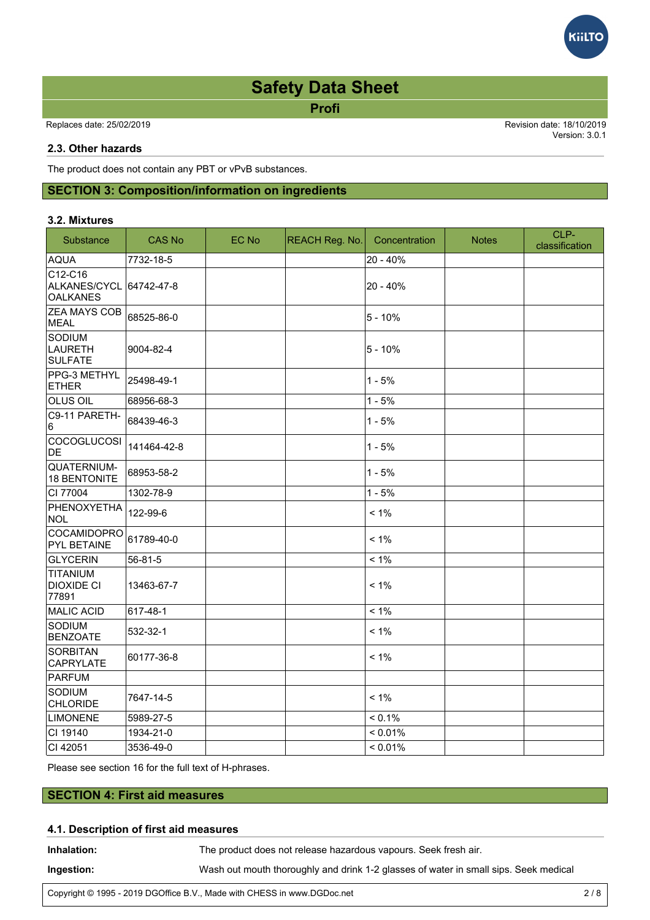# **Safety Data Sheet**

**Profi**

Replaces date: 25/02/2019 Revision date: 18/10/2019

Version: 3.0.1

**GiltC** 

# **2.3. Other hazards**

The product does not contain any PBT or vPvB substances.

# **SECTION 3: Composition/information on ingredients**

#### **3.2. Mixtures**

| Substance                                                | <b>CAS No</b> | EC No | REACH Reg. No. | Concentration | <b>Notes</b> | CLP-<br>classification |
|----------------------------------------------------------|---------------|-------|----------------|---------------|--------------|------------------------|
| <b>AQUA</b>                                              | 7732-18-5     |       |                | 20 - 40%      |              |                        |
| $ C12-C16$<br>ALKANES/CYCL 64742-47-8<br><b>OALKANES</b> |               |       |                | $20 - 40%$    |              |                        |
| <b>ZEA MAYS COB</b><br>MEAL                              | 68525-86-0    |       |                | $5 - 10%$     |              |                        |
| SODIUM<br>LAURETH<br>SULFATE                             | 9004-82-4     |       |                | $5 - 10%$     |              |                        |
| PPG-3 METHYL<br><b>ETHER</b>                             | 25498-49-1    |       |                | $1 - 5%$      |              |                        |
| <b>OLUS OIL</b>                                          | 68956-68-3    |       |                | $1 - 5%$      |              |                        |
| C9-11 PARETH-<br>16                                      | 68439-46-3    |       |                | $1 - 5%$      |              |                        |
| <b>COCOGLUCOSI</b><br>DE                                 | 141464-42-8   |       |                | $1 - 5%$      |              |                        |
| QUATERNIUM-<br>18 BENTONITE                              | 68953-58-2    |       |                | $1 - 5%$      |              |                        |
| CI 77004                                                 | 1302-78-9     |       |                | $1 - 5%$      |              |                        |
| PHENOXYETHA<br>NOL                                       | 122-99-6      |       |                | $< 1\%$       |              |                        |
| COCAMIDOPRO<br><b>PYL BETAINE</b>                        | 61789-40-0    |       |                | $< 1\%$       |              |                        |
| <b>GLYCERIN</b>                                          | 56-81-5       |       |                | $< 1\%$       |              |                        |
| TITANIUM<br>DIOXIDE CI<br>77891                          | 13463-67-7    |       |                | $< 1\%$       |              |                        |
| MALIC ACID                                               | 617-48-1      |       |                | $< 1\%$       |              |                        |
| SODIUM<br><b>BENZOATE</b>                                | 532-32-1      |       |                | $< 1\%$       |              |                        |
| SORBITAN<br>CAPRYLATE                                    | 60177-36-8    |       |                | $< 1\%$       |              |                        |
| PARFUM                                                   |               |       |                |               |              |                        |
| Sodium<br><b>CHLORIDE</b>                                | 7647-14-5     |       |                | $< 1\%$       |              |                        |
| LIMONENE                                                 | 5989-27-5     |       |                | $< 0.1\%$     |              |                        |
| CI 19140                                                 | 1934-21-0     |       |                | < 0.01%       |              |                        |
| CI 42051                                                 | 3536-49-0     |       |                | < 0.01%       |              |                        |

Please see section 16 for the full text of H-phrases.

# **SECTION 4: First aid measures**

# **4.1. Description of first aid measures**

| Inhalation: | The product does not release hazardous vapours. Seek fresh air.                      |
|-------------|--------------------------------------------------------------------------------------|
| Ingestion:  | Wash out mouth thoroughly and drink 1-2 glasses of water in small sips. Seek medical |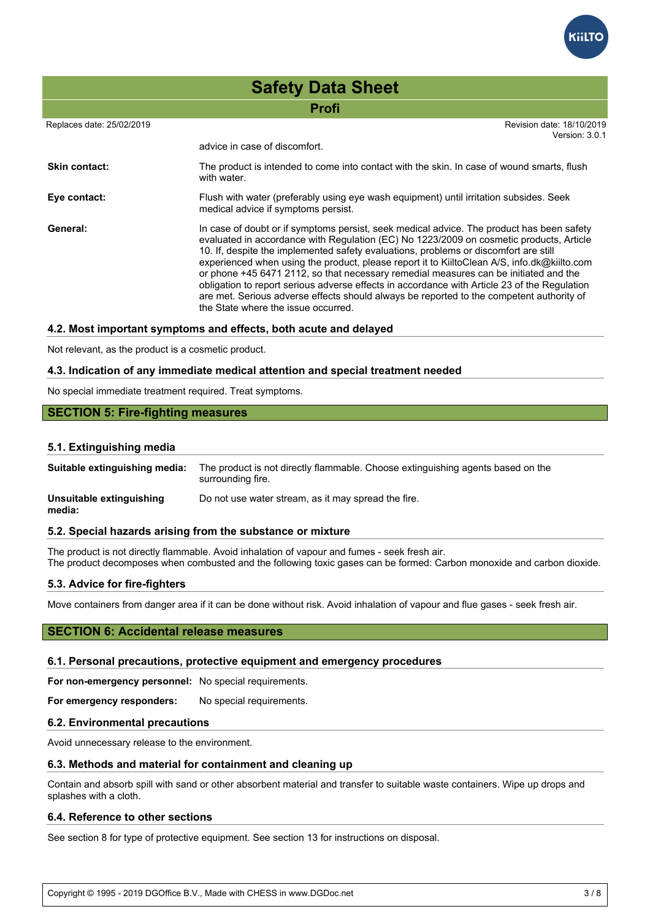

|                           | <b>Safety Data Sheet</b>                                                                                                                                                                                                                                                                                                                                                                                                                                                                                                                                                                                                                                                                               |  |  |  |
|---------------------------|--------------------------------------------------------------------------------------------------------------------------------------------------------------------------------------------------------------------------------------------------------------------------------------------------------------------------------------------------------------------------------------------------------------------------------------------------------------------------------------------------------------------------------------------------------------------------------------------------------------------------------------------------------------------------------------------------------|--|--|--|
|                           | <b>Profi</b>                                                                                                                                                                                                                                                                                                                                                                                                                                                                                                                                                                                                                                                                                           |  |  |  |
| Replaces date: 25/02/2019 | Revision date: 18/10/2019<br>Version: 3.0.1                                                                                                                                                                                                                                                                                                                                                                                                                                                                                                                                                                                                                                                            |  |  |  |
|                           | advice in case of discomfort.                                                                                                                                                                                                                                                                                                                                                                                                                                                                                                                                                                                                                                                                          |  |  |  |
| <b>Skin contact:</b>      | The product is intended to come into contact with the skin. In case of wound smarts, flush<br>with water.                                                                                                                                                                                                                                                                                                                                                                                                                                                                                                                                                                                              |  |  |  |
| Eye contact:              | Flush with water (preferably using eye wash equipment) until irritation subsides. Seek<br>medical advice if symptoms persist.                                                                                                                                                                                                                                                                                                                                                                                                                                                                                                                                                                          |  |  |  |
| General:                  | In case of doubt or if symptoms persist, seek medical advice. The product has been safety<br>evaluated in accordance with Regulation (EC) No 1223/2009 on cosmetic products, Article<br>10. If, despite the implemented safety evaluations, problems or discomfort are still<br>experienced when using the product, please report it to KiiltoClean A/S, info.dk@kiilto.com<br>or phone +45 6471 2112, so that necessary remedial measures can be initiated and the<br>obligation to report serious adverse effects in accordance with Article 23 of the Regulation<br>are met. Serious adverse effects should always be reported to the competent authority of<br>the State where the issue occurred. |  |  |  |

#### **4.2. Most important symptoms and effects, both acute and delayed**

Not relevant, as the product is a cosmetic product.

#### **4.3. Indication of any immediate medical attention and special treatment needed**

No special immediate treatment required. Treat symptoms.

#### **SECTION 5: Fire-fighting measures**

#### **5.1. Extinguishing media**

**Suitable extinguishing media:** The product is not directly flammable. Choose extinguishing agents based on the surrounding fire.

**Unsuitable extinguishing media:** Do not use water stream, as it may spread the fire.

#### **5.2. Special hazards arising from the substance or mixture**

The product is not directly flammable. Avoid inhalation of vapour and fumes - seek fresh air. The product decomposes when combusted and the following toxic gases can be formed: Carbon monoxide and carbon dioxide.

#### **5.3. Advice for fire-fighters**

Move containers from danger area if it can be done without risk. Avoid inhalation of vapour and flue gases - seek fresh air.

#### **SECTION 6: Accidental release measures**

#### **6.1. Personal precautions, protective equipment and emergency procedures**

**For non-emergency personnel:** No special requirements.

For emergency responders: No special requirements.

#### **6.2. Environmental precautions**

Avoid unnecessary release to the environment.

#### **6.3. Methods and material for containment and cleaning up**

Contain and absorb spill with sand or other absorbent material and transfer to suitable waste containers. Wipe up drops and splashes with a cloth.

#### **6.4. Reference to other sections**

See section 8 for type of protective equipment. See section 13 for instructions on disposal.

Copyright © 1995 - 2019 DGOffice B.V., Made with CHESS in www.DGDoc.net 3 / 8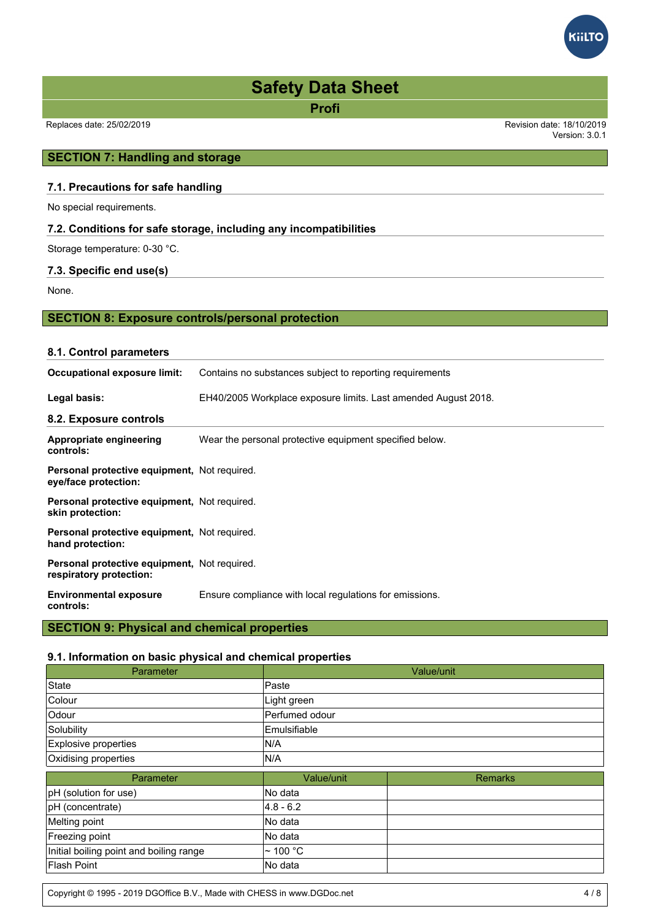# Replaces date: 25/02/2019 Revision date: 18/10/2019 Version: 3.0.1 **Profi Safety Data Sheet**

# **SECTION 7: Handling and storage**

# **7.1. Precautions for safe handling**

No special requirements.

# **7.2. Conditions for safe storage, including any incompatibilities**

Storage temperature: 0-30 °C.

#### **7.3. Specific end use(s)**

None.

# **SECTION 8: Exposure controls/personal protection**

# **8.1. Control parameters Occupational exposure limit:** Contains no substances subject to reporting requirements **Legal basis:** EH40/2005 Workplace exposure limits. Last amended August 2018. **8.2. Exposure controls Appropriate engineering controls:** Wear the personal protective equipment specified below. **Personal protective equipment,** Not required. **eye/face protection: Personal protective equipment,** Not required. **skin protection: Personal protective equipment,** Not required. **hand protection: Personal protective equipment,** Not required. **respiratory protection: Environmental exposure controls:** Ensure compliance with local regulations for emissions.

# **SECTION 9: Physical and chemical properties**

#### **9.1. Information on basic physical and chemical properties**

| Parameter                               |                     | Value/unit     |
|-----------------------------------------|---------------------|----------------|
| State                                   | Paste               |                |
| Colour                                  | Light green         |                |
| Odour                                   | Perfumed odour      |                |
| Solubility                              | <b>Emulsifiable</b> |                |
| Explosive properties                    | IN/A                |                |
| Oxidising properties                    | IN/A                |                |
| Parameter                               | Value/unit          | <b>Remarks</b> |
| pH (solution for use)                   | No data             |                |
| pH (concentrate)                        | $ 4.8 - 6.2 $       |                |
| Melting point                           | No data             |                |
| Freezing point                          | lNo data            |                |
| Initial boiling point and boiling range | l∼ 100 °C           |                |
| <b>Flash Point</b>                      | No data             |                |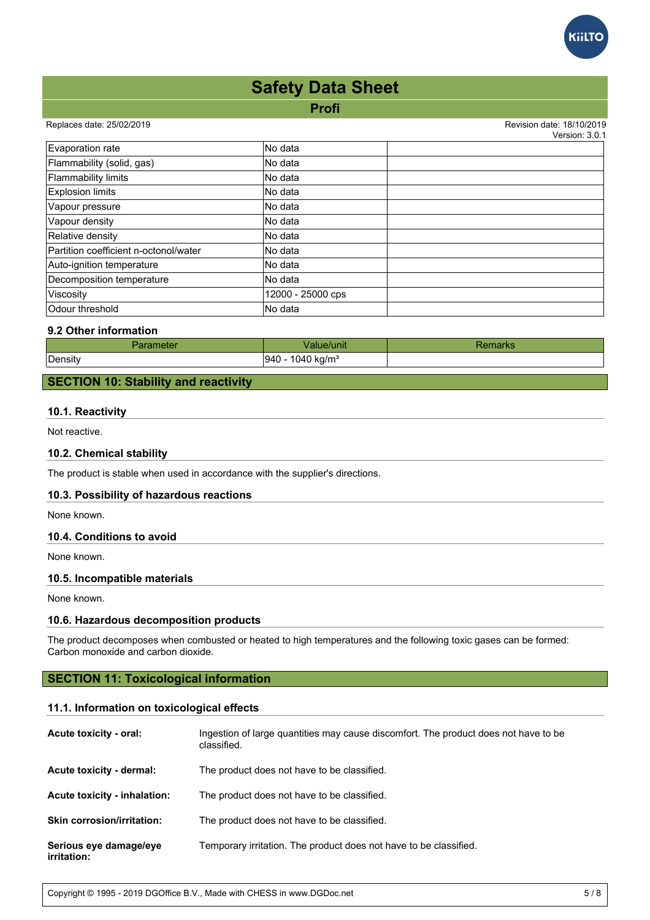

# **Profi Safety Data Sheet**

#### Replaces date: 25/02/2019 Revision date: 18/10/2019

 $V$ orojon:  $2.0.1$ 

|                                       |                   | <u>veisiuit J.U. I</u> |
|---------------------------------------|-------------------|------------------------|
| Evaporation rate                      | lNo data          |                        |
| Flammability (solid, gas)             | lNo data          |                        |
| <b>Flammability limits</b>            | lNo data          |                        |
| <b>Explosion limits</b>               | No data           |                        |
| Vapour pressure                       | lNo data          |                        |
| Vapour density                        | No data           |                        |
| Relative density                      | lNo data          |                        |
| Partition coefficient n-octonol/water | No data           |                        |
| Auto-ignition temperature             | lNo data          |                        |
| Decomposition temperature             | No data           |                        |
| Viscosity                             | 12000 - 25000 cps |                        |
| Odour threshold                       | No data           |                        |

# **9.2 Other information**

| arameter | /alue/unit                     | ⊀emarks |
|----------|--------------------------------|---------|
| Density  | 1040 kg/m <sup>3</sup><br> 940 |         |

# **SECTION 10: Stability and reactivity**

# **10.1. Reactivity**

Not reactive.

# **10.2. Chemical stability**

The product is stable when used in accordance with the supplier's directions.

# **10.3. Possibility of hazardous reactions**

None known.

# **10.4. Conditions to avoid**

None known.

# **10.5. Incompatible materials**

None known.

# **10.6. Hazardous decomposition products**

The product decomposes when combusted or heated to high temperatures and the following toxic gases can be formed: Carbon monoxide and carbon dioxide.

# **SECTION 11: Toxicological information**

#### **11.1. Information on toxicological effects**

| Acute toxicity - oral:                | Ingestion of large quantities may cause discomfort. The product does not have to be<br>classified. |
|---------------------------------------|----------------------------------------------------------------------------------------------------|
| Acute toxicity - dermal:              | The product does not have to be classified.                                                        |
| Acute toxicity - inhalation:          | The product does not have to be classified.                                                        |
| <b>Skin corrosion/irritation:</b>     | The product does not have to be classified.                                                        |
| Serious eye damage/eye<br>irritation: | Temporary irritation. The product does not have to be classified.                                  |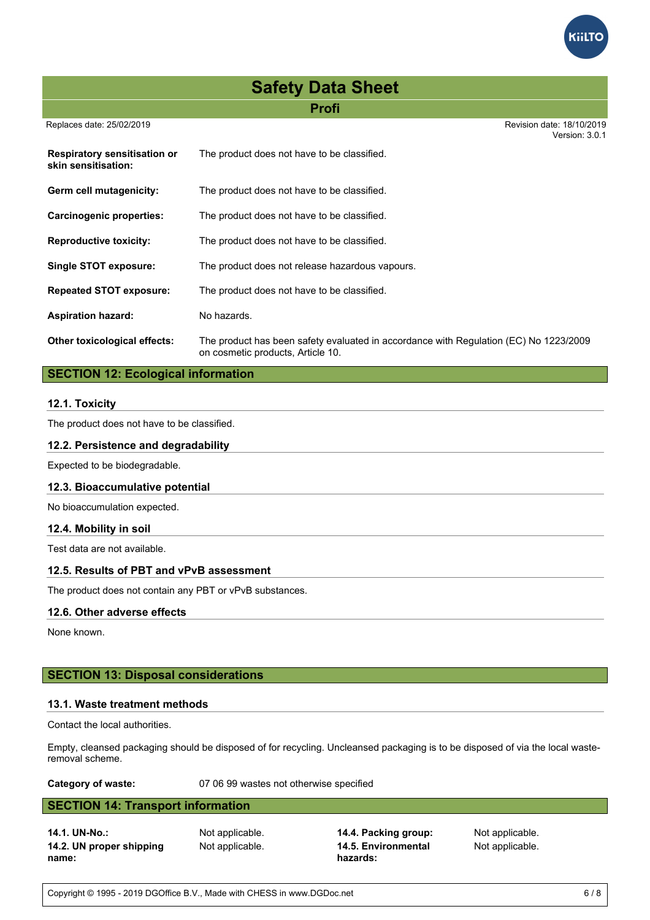# **Safety Data Sheet**

# **Profi**

Replaces date: 25/02/2019 Revision date: 18/10/2019

|                                                     |                                                                                                                            | Version: 3.0.1 |
|-----------------------------------------------------|----------------------------------------------------------------------------------------------------------------------------|----------------|
| Respiratory sensitisation or<br>skin sensitisation: | The product does not have to be classified.                                                                                |                |
| Germ cell mutagenicity:                             | The product does not have to be classified.                                                                                |                |
| Carcinogenic properties:                            | The product does not have to be classified.                                                                                |                |
| <b>Reproductive toxicity:</b>                       | The product does not have to be classified.                                                                                |                |
| <b>Single STOT exposure:</b>                        | The product does not release hazardous vapours.                                                                            |                |
| <b>Repeated STOT exposure:</b>                      | The product does not have to be classified.                                                                                |                |
| <b>Aspiration hazard:</b>                           | No hazards.                                                                                                                |                |
| <b>Other toxicological effects:</b>                 | The product has been safety evaluated in accordance with Regulation (EC) No 1223/2009<br>on cosmetic products, Article 10. |                |

# **SECTION 12: Ecological information**

#### **12.1. Toxicity**

The product does not have to be classified.

# **12.2. Persistence and degradability**

Expected to be biodegradable.

#### **12.3. Bioaccumulative potential**

No bioaccumulation expected.

#### **12.4. Mobility in soil**

Test data are not available.

# **12.5. Results of PBT and vPvB assessment**

The product does not contain any PBT or vPvB substances.

#### **12.6. Other adverse effects**

None known.

# **SECTION 13: Disposal considerations**

#### **13.1. Waste treatment methods**

Contact the local authorities.

Empty, cleansed packaging should be disposed of for recycling. Uncleansed packaging is to be disposed of via the local wasteremoval scheme.

**Category of waste:** 07 06 99 wastes not otherwise specified

# **SECTION 14: Transport information**

**14.2. UN proper shipping name:**

**14.1. UN-No.:** Not applicable. **14.4. Packing group:** Not applicable. Not applicable. **14.5. Environmental hazards:**

Not applicable.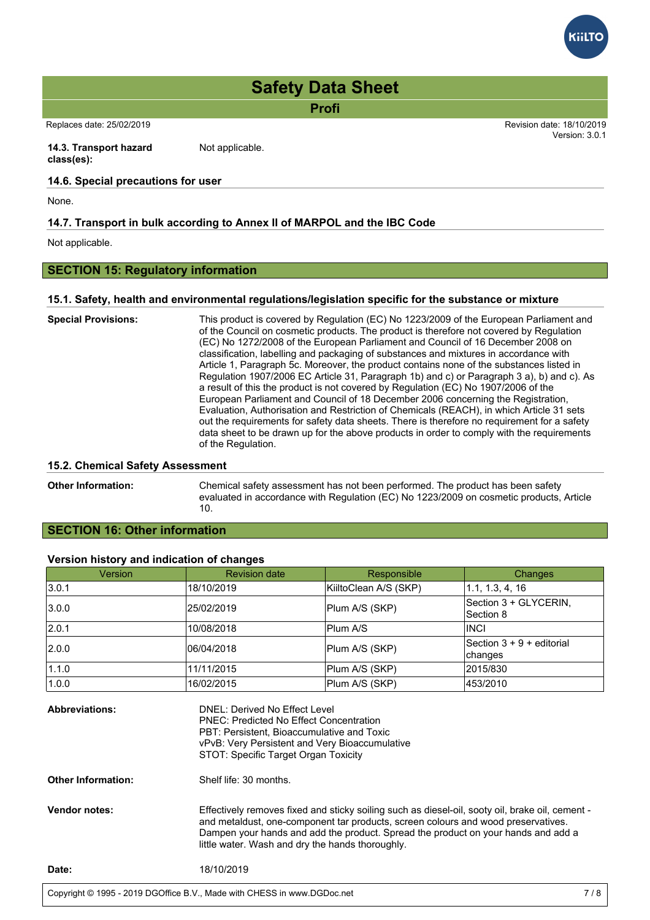

**Profi**

Replaces date: 25/02/2019 Revision date: 18/10/2019

**14.3. Transport hazard class(es):** Not applicable.

# **14.6. Special precautions for user**

None.

# **14.7. Transport in bulk according to Annex II of MARPOL and the IBC Code**

Not applicable.

# **SECTION 15: Regulatory information**

#### **15.1. Safety, health and environmental regulations/legislation specific for the substance or mixture**

| <b>Special Provisions:</b> | This product is covered by Regulation (EC) No 1223/2009 of the European Parliament and<br>of the Council on cosmetic products. The product is therefore not covered by Regulation<br>(EC) No 1272/2008 of the European Parliament and Council of 16 December 2008 on<br>classification, labelling and packaging of substances and mixtures in accordance with<br>Article 1, Paragraph 5c. Moreover, the product contains none of the substances listed in<br>Regulation 1907/2006 EC Article 31, Paragraph 1b) and c) or Paragraph 3 a), b) and c). As<br>a result of this the product is not covered by Regulation (EC) No 1907/2006 of the<br>European Parliament and Council of 18 December 2006 concerning the Registration,<br>Evaluation, Authorisation and Restriction of Chemicals (REACH), in which Article 31 sets<br>out the requirements for safety data sheets. There is therefore no requirement for a safety<br>data sheet to be drawn up for the above products in order to comply with the requirements<br>of the Regulation. |
|----------------------------|------------------------------------------------------------------------------------------------------------------------------------------------------------------------------------------------------------------------------------------------------------------------------------------------------------------------------------------------------------------------------------------------------------------------------------------------------------------------------------------------------------------------------------------------------------------------------------------------------------------------------------------------------------------------------------------------------------------------------------------------------------------------------------------------------------------------------------------------------------------------------------------------------------------------------------------------------------------------------------------------------------------------------------------------|
|----------------------------|------------------------------------------------------------------------------------------------------------------------------------------------------------------------------------------------------------------------------------------------------------------------------------------------------------------------------------------------------------------------------------------------------------------------------------------------------------------------------------------------------------------------------------------------------------------------------------------------------------------------------------------------------------------------------------------------------------------------------------------------------------------------------------------------------------------------------------------------------------------------------------------------------------------------------------------------------------------------------------------------------------------------------------------------|

# **15.2. Chemical Safety Assessment**

**Other Information:** Chemical safety assessment has not been performed. The product has been safety evaluated in accordance with Regulation (EC) No 1223/2009 on cosmetic products, Article 10.

# **SECTION 16: Other information**

# **Version history and indication of changes**

| Version | <b>Revision date</b> | Responsible           | Changes                                |
|---------|----------------------|-----------------------|----------------------------------------|
| 3.0.1   | 18/10/2019           | KiiltoClean A/S (SKP) | 1.1, 1.3, 4, 16                        |
| 3.0.0   | 25/02/2019           | Plum A/S (SKP)        | Section 3 + GLYCERIN,<br>Section 8     |
| 2.0.1   | 10/08/2018           | Plum A/S              | <b>INCI</b>                            |
| 2.0.0   | 106/04/2018          | Plum A/S (SKP)        | Section $3 + 9 +$ editorial<br>changes |
| 1.1.0   | 11/11/2015           | Plum A/S (SKP)        | 2015/830                               |
| 1.0.0   | 16/02/2015           | Plum A/S (SKP)        | 453/2010                               |

| <b>Abbreviations:</b>     | DNEL: Derived No Effect Level<br><b>PNEC: Predicted No Effect Concentration</b><br>PBT: Persistent, Bioaccumulative and Toxic<br>vPvB: Very Persistent and Very Bioaccumulative                                                                                                                                               |
|---------------------------|-------------------------------------------------------------------------------------------------------------------------------------------------------------------------------------------------------------------------------------------------------------------------------------------------------------------------------|
|                           | STOT: Specific Target Organ Toxicity                                                                                                                                                                                                                                                                                          |
| <b>Other Information:</b> | Shelf life: 30 months.                                                                                                                                                                                                                                                                                                        |
| <b>Vendor notes:</b>      | Effectively removes fixed and sticky soiling such as diesel-oil, sooty oil, brake oil, cement -<br>and metaldust, one-component tar products, screen colours and wood preservatives.<br>Dampen your hands and add the product. Spread the product on your hands and add a<br>little water. Wash and dry the hands thoroughly. |
| Date:                     | 18/10/2019                                                                                                                                                                                                                                                                                                                    |
|                           |                                                                                                                                                                                                                                                                                                                               |



Version: 3.0.1